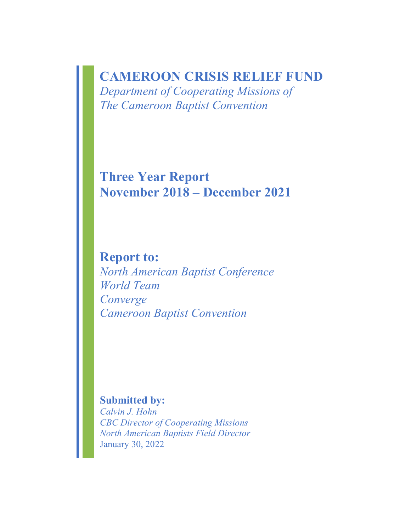# **CAMEROON CRISIS RELIEF FUND**

*Department of Cooperating Missions of The Cameroon Baptist Convention* 

**Three Year Report November 2018 – December 2021**

**Report to:** *North American Baptist Conference World Team Converge Cameroon Baptist Convention*

**Submitted by:**

*Calvin J. Hohn CBC Director of Cooperating Missions North American Baptists Field Director* January 30, 2022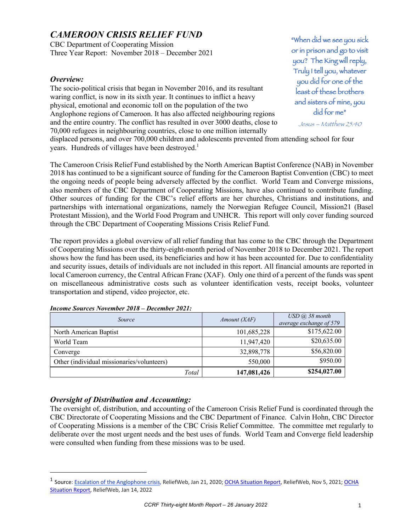# *CAMEROON CRISIS RELIEF FUND*

CBC Department of Cooperating Mission Three Year Report: November 2018 – December 2021

#### *Overview:*

The socio-political crisis that began in November 2016, and its resultant waring conflict, is now in its sixth year. It continues to inflict a heavy physical, emotional and economic toll on the population of the two Anglophone regions of Cameroon. It has also affected neighbouring regions and the entire country. The conflict has resulted in over 3000 deaths, close to 70,000 refugees in neighbouring countries, close to one million internally

"When did we see you sick or in prison and go to visit you? The King will reply, Truly I tell you, whatever you did for one of the least of these brothers and sisters of mine, you did for me"

Jesus – Matthew 25:40

displaced persons, and over 700,000 children and adolescents prevented from attending school for four years. Hundreds of villages have been destroyed.<sup>1</sup>

The Cameroon Crisis Relief Fund established by the North American Baptist Conference (NAB) in November 2018 has continued to be a significant source of funding for the Cameroon Baptist Convention (CBC) to meet the ongoing needs of people being adversely affected by the conflict. World Team and Converge missions, also members of the CBC Department of Cooperating Missions, have also continued to contribute funding. Other sources of funding for the CBC's relief efforts are her churches, Christians and institutions, and partnerships with international organizations, namely the Norwegian Refugee Council, Mission21 (Basel Protestant Mission), and the World Food Program and UNHCR. This report will only cover funding sourced through the CBC Department of Cooperating Missions Crisis Relief Fund.

The report provides a global overview of all relief funding that has come to the CBC through the Department of Cooperating Missions over the thirty-eight-month period of November 2018 to December 2021. The report shows how the fund has been used, its beneficiaries and how it has been accounted for. Due to confidentiality and security issues, details of individuals are not included in this report. All financial amounts are reported in local Cameroon currency, the Central African Franc (XAF). Only one third of a percent of the funds was spent on miscellaneous administrative costs such as volunteer identification vests, receipt books, volunteer transportation and stipend, video projector, etc.

| <i>Source</i>                              | Amount(XAF) | $\text{USD}$ (a), 38 month<br>average exchange of 579 |
|--------------------------------------------|-------------|-------------------------------------------------------|
| North American Baptist                     | 101,685,228 | \$175,622.00                                          |
| World Team                                 | 11,947,420  | \$20,635.00                                           |
| Converge                                   | 32,898,778  | \$56,820.00                                           |
| Other (individual missionaries/volunteers) | 550,000     | \$950.00                                              |
| Total                                      | 147,081,426 | \$254,027.00                                          |

#### *Income Sources November 2018 – December 2021:*

## *Oversight of Distribution and Accounting:*

The oversight of, distribution, and accounting of the Cameroon Crisis Relief Fund is coordinated through the CBC Directorate of Cooperating Missions and the CBC Department of Finance. Calvin Hohn, CBC Director of Cooperating Missions is a member of the CBC Crisis Relief Committee. The committee met regularly to deliberate over the most urgent needs and the best uses of funds. World Team and Converge field leadership were consulted when funding from these missions was to be used.

<sup>&</sup>lt;sup>1</sup> Source: **Escalation of the Anglophone crisis**, ReliefWeb, Jan 21, 2020; OCHA Situation Report, ReliefWeb, Nov 5, 2021; OCHA Situation Report, ReliefWeb, Jan 14, 2022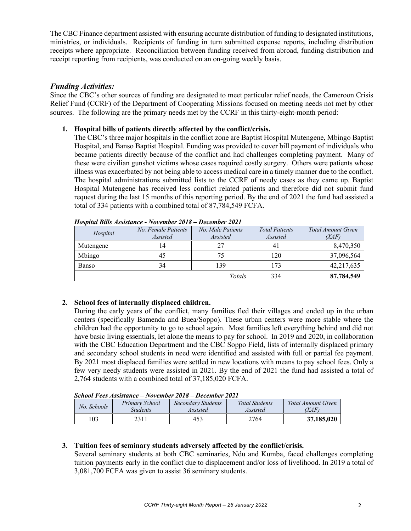The CBC Finance department assisted with ensuring accurate distribution of funding to designated institutions, ministries, or individuals. Recipients of funding in turn submitted expense reports, including distribution receipts where appropriate. Reconciliation between funding received from abroad, funding distribution and receipt reporting from recipients, was conducted on an on-going weekly basis.

## *Funding Activities:*

Since the CBC's other sources of funding are designated to meet particular relief needs, the Cameroon Crisis Relief Fund (CCRF) of the Department of Cooperating Missions focused on meeting needs not met by other sources. The following are the primary needs met by the CCRF in this thirty-eight-month period:

### **1. Hospital bills of patients directly affected by the conflict/crisis.**

The CBC's three major hospitals in the conflict zone are Baptist Hospital Mutengene, Mbingo Baptist Hospital, and Banso Baptist Hospital. Funding was provided to cover bill payment of individuals who became patients directly because of the conflict and had challenges completing payment. Many of these were civilian gunshot victims whose cases required costly surgery. Others were patients whose illness was exacerbated by not being able to access medical care in a timely manner due to the conflict. The hospital administrations submitted lists to the CCRF of needy cases as they came up. Baptist Hospital Mutengene has received less conflict related patients and therefore did not submit fund request during the last 15 months of this reporting period. By the end of 2021 the fund had assisted a total of 334 patients with a combined total of 87,784,549 FCFA.

| Hospital  | No. Female Patients<br>Assisted | No. Male Patients<br>Assisted | <b>Total Patients</b><br><i>Assisted</i> | Total Amount Given<br>(XAF) |
|-----------|---------------------------------|-------------------------------|------------------------------------------|-----------------------------|
| Mutengene | 14                              | 27                            | 4 I                                      | 8,470,350                   |
| Mbingo    | 45                              | 75                            | 120                                      | 37,096,564                  |
| Banso     | 34                              | 139                           | 173                                      | 42,217,635                  |
|           |                                 | Totals                        | 334                                      | 87,784,549                  |

*Hospital Bills Assistance - November 2018 – December 2021*

## **2. School fees of internally displaced children.**

During the early years of the conflict, many families fled their villages and ended up in the urban centers (specifically Bamenda and Buea/Soppo). These urban centers were more stable where the children had the opportunity to go to school again. Most families left everything behind and did not have basic living essentials, let alone the means to pay for school. In 2019 and 2020, in collaboration with the CBC Education Department and the CBC Soppo Field, lists of internally displaced primary and secondary school students in need were identified and assisted with full or partial fee payment. By 2021 most displaced families were settled in new locations with means to pay school fees. Only a few very needy students were assisted in 2021. By the end of 2021 the fund had assisted a total of 2,764 students with a combined total of 37,185,020 FCFA.

|             | $S$ Chool Fees Assistance – November 2010 – December 2021 |                |                    |                       |                           |
|-------------|-----------------------------------------------------------|----------------|--------------------|-----------------------|---------------------------|
| No. Schools |                                                           | Primary School | Secondary Students | <b>Total Students</b> | <b>Total Amount Given</b> |
|             | <i><b>Students</b></i>                                    | Assisted       | Assisted           | (XAF)                 |                           |
|             | 103                                                       | 2311           | 453                | 2764                  | 37,185,020                |

*School Fees Assistance – November 2018 – December 2021*

#### **3. Tuition fees of seminary students adversely affected by the conflict/crisis.**

Several seminary students at both CBC seminaries, Ndu and Kumba, faced challenges completing tuition payments early in the conflict due to displacement and/or loss of livelihood. In 2019 a total of 3,081,700 FCFA was given to assist 36 seminary students.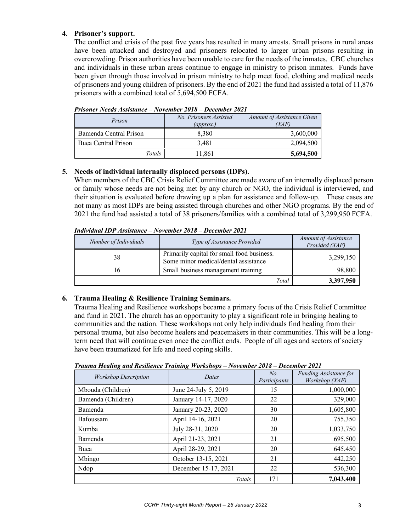## **4. Prisoner's support.**

The conflict and crisis of the past five years has resulted in many arrests. Small prisons in rural areas have been attacked and destroyed and prisoners relocated to larger urban prisons resulting in overcrowding. Prison authorities have been unable to care for the needs of the inmates. CBC churches and individuals in these urban areas continue to engage in ministry to prison inmates. Funds have been given through those involved in prison ministry to help meet food, clothing and medical needs of prisoners and young children of prisoners. By the end of 2021 the fund had assisted a total of 11,876 prisoners with a combined total of 5,694,500 FCFA.

| Prison                 | No. Prisoners Assisted<br>$\left($ <i>approx.</i> ) | Amount of Assistance Given<br>(XAF) |
|------------------------|-----------------------------------------------------|-------------------------------------|
| Bamenda Central Prison | 8.380                                               | 3,600,000                           |
| Buea Central Prison    | 3.481                                               | 2,094,500                           |
| Totals                 | 11.861                                              | 5,694,500                           |

*Prisoner Needs Assistance – November 2018 – December 2021*

### **5. Needs of individual internally displaced persons (IDPs).**

When members of the CBC Crisis Relief Committee are made aware of an internally displaced person or family whose needs are not being met by any church or NGO, the individual is interviewed, and their situation is evaluated before drawing up a plan for assistance and follow-up. These cases are not many as most IDPs are being assisted through churches and other NGO programs. By the end of 2021 the fund had assisted a total of 38 prisoners/families with a combined total of 3,299,950 FCFA.

*Individual IDP Assistance – November 2018 – December 2021*

| Number of Individuals | Type of Assistance Provided                                                        | Amount of Assistance<br>Provided (XAF) |
|-----------------------|------------------------------------------------------------------------------------|----------------------------------------|
| 38                    | Primarily capital for small food business.<br>Some minor medical/dental assistance | 3,299,150                              |
|                       | Small business management training                                                 | 98,800                                 |
|                       | Total                                                                              | 3,397,950                              |

## **6. Trauma Healing & Resilience Training Seminars.**

Trauma Healing and Resilience workshops became a primary focus of the Crisis Relief Committee and fund in 2021. The church has an opportunity to play a significant role in bringing healing to communities and the nation. These workshops not only help individuals find healing from their personal trauma, but also become healers and peacemakers in their communities. This will be a longterm need that will continue even once the conflict ends. People of all ages and sectors of society have been traumatized for life and need coping skills.

| Trauma Healing and Resilience Training Workshops - November 2018 - December 2021 |  |
|----------------------------------------------------------------------------------|--|
|----------------------------------------------------------------------------------|--|

| <b>Workshop Description</b> | Dates                | No.<br>Participants | <b>Funding Assistance for</b><br>Workshop (XAF) |
|-----------------------------|----------------------|---------------------|-------------------------------------------------|
| Mbouda (Children)           | June 24-July 5, 2019 | 15                  | 1,000,000                                       |
| Bamenda (Children)          | January 14-17, 2020  | 22                  | 329,000                                         |
| Bamenda                     | January 20-23, 2020  | 30                  | 1,605,800                                       |
| Bafoussam                   | April 14-16, 2021    | 20                  | 755,350                                         |
| Kumba                       | July 28-31, 2020     | 20                  | 1,033,750                                       |
| Bamenda                     | April 21-23, 2021    | 21                  | 695,500                                         |
| Buea                        | April 28-29, 2021    | 20                  | 645,450                                         |
| Mbingo                      | October 13-15, 2021  | 21                  | 442,250                                         |
| Ndop                        | December 15-17, 2021 | 22                  | 536,300                                         |
|                             | Totals               | 171                 | 7,043,400                                       |